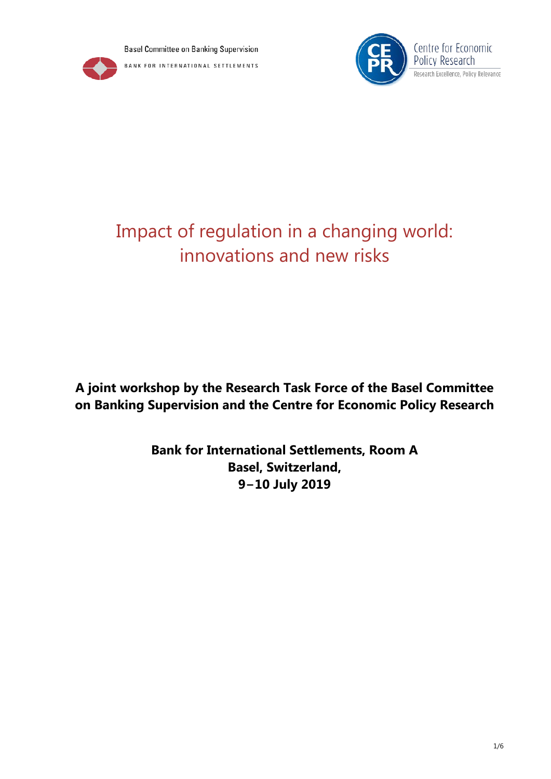**Basel Committee on Banking Supervision** 



BANK FOR INTERNATIONAL SETTLEMENTS



# Impact of regulation in a changing world: innovations and new risks

**A joint workshop by the Research Task Force of the Basel Committee on Banking Supervision and the Centre for Economic Policy Research**

> **Bank for International Settlements, Room A Basel, Switzerland, 9−10 July 2019**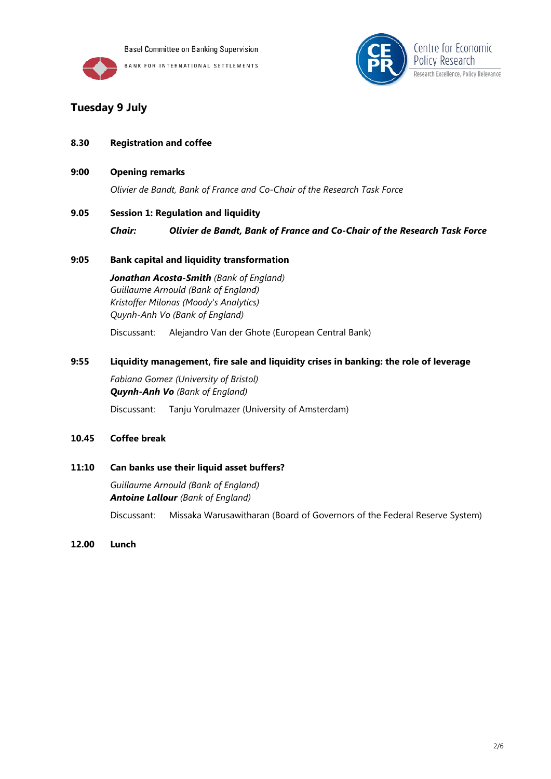

**Basel Committee on Banking Supervision** BANK FOR INTERNATIONAL SETTLEMENTS



# **Tuesday 9 July**

- **8.30 Registration and coffee**
- **9:00 Opening remarks**

*Olivier de Bandt, Bank of France and Co-Chair of the Research Task Force*

**9.05 Session 1: Regulation and liquidity**

*Chair: Olivier de Bandt, Bank of France and Co-Chair of the Research Task Force*

# **9:05 Bank capital and liquidity transformation**

*Jonathan Acosta-Smith (Bank of England) Guillaume Arnould (Bank of England) Kristoffer Milonas (Moody's Analytics) Quynh-Anh Vo (Bank of England)*

Discussant: Alejandro Van der Ghote (European Central Bank)

# **9:55 Liquidity management, fire sale and liquidity crises in banking: the role of leverage**

*Fabiana Gomez (University of Bristol) Quynh-Anh Vo (Bank of England)*

Discussant: Tanju Yorulmazer (University of Amsterdam)

#### **10.45 Coffee break**

#### **11:10 Can banks use their liquid asset buffers?**

*Guillaume Arnould (Bank of England) Antoine Lallour (Bank of England)*

Discussant: Missaka Warusawitharan (Board of Governors of the Federal Reserve System)

**12.00 Lunch**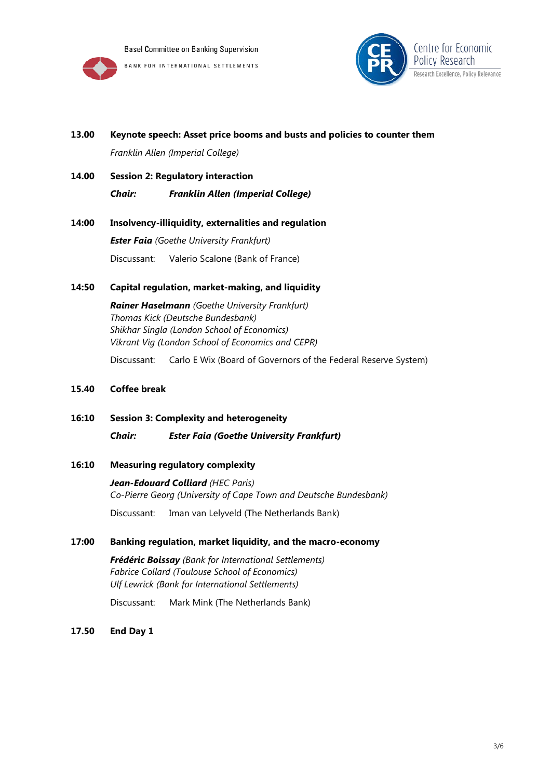



# **13.00 Keynote speech: Asset price booms and busts and policies to counter them** *Franklin Allen (Imperial College)*

- **14.00 Session 2: Regulatory interaction** *Chair: Franklin Allen (Imperial College)*
- **14:00 Insolvency-illiquidity, externalities and regulation** *Ester Faia (Goethe University Frankfurt)* Discussant: Valerio Scalone (Bank of France)

# **14:50 Capital regulation, market-making, and liquidity**

*Rainer Haselmann (Goethe University Frankfurt) Thomas Kick (Deutsche Bundesbank) Shikhar Singla (London School of Economics) Vikrant Vig (London School of Economics and CEPR)*

Discussant: Carlo E Wix (Board of Governors of the Federal Reserve System)

# **15.40 Coffee break**

**16:10 Session 3: Complexity and heterogeneity**

*Chair: Ester Faia (Goethe University Frankfurt)*

# **16:10 Measuring regulatory complexity**

*Jean-Edouard Colliard (HEC Paris) Co-Pierre Georg (University of Cape Town and Deutsche Bundesbank)* Discussant: Iman van Lelyveld (The Netherlands Bank)

# **17:00 Banking regulation, market liquidity, and the macro-economy**

*Frédéric Boissay (Bank for International Settlements) Fabrice Collard (Toulouse School of Economics) Ulf Lewrick (Bank for International Settlements)*

Discussant: Mark Mink (The Netherlands Bank)

**17.50 End Day 1**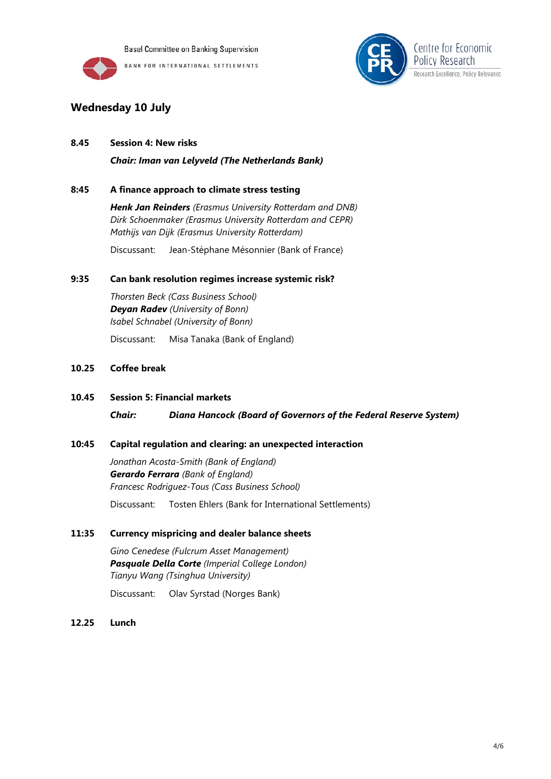



# **Wednesday 10 July**

# **8.45 Session 4: New risks**

*Chair: Iman van Lelyveld (The Netherlands Bank)*

# **8:45 A finance approach to climate stress testing**

*Henk Jan Reinders (Erasmus University Rotterdam and DNB) Dirk Schoenmaker (Erasmus University Rotterdam and CEPR) Mathijs van Dijk (Erasmus University Rotterdam)*

Discussant: Jean-Stéphane Mésonnier (Bank of France)

# **9:35 Can bank resolution regimes increase systemic risk?**

*Thorsten Beck (Cass Business School) Deyan Radev (University of Bonn) Isabel Schnabel (University of Bonn)*

Discussant: Misa Tanaka (Bank of England)

# **10.25 Coffee break**

**10.45 Session 5: Financial markets**

*Chair: Diana Hancock (Board of Governors of the Federal Reserve System)*

#### **10:45 Capital regulation and clearing: an unexpected interaction**

*Jonathan Acosta-Smith (Bank of England) Gerardo Ferrara (Bank of England) Francesc Rodriguez-Tous (Cass Business School)*

Discussant: Tosten Ehlers (Bank for International Settlements)

#### **11:35 Currency mispricing and dealer balance sheets**

*Gino Cenedese (Fulcrum Asset Management) Pasquale Della Corte (Imperial College London) Tianyu Wang (Tsinghua University)*

Discussant: Olav Syrstad (Norges Bank)

**12.25 Lunch**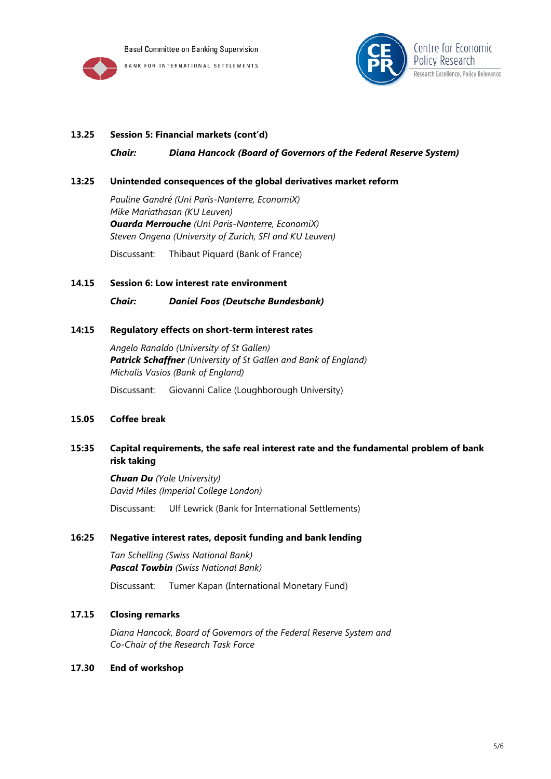



# **13.25 Session 5: Financial markets (cont'd)**

*Chair: Diana Hancock (Board of Governors of the Federal Reserve System)*

#### **13:25 Unintended consequences of the global derivatives market reform**

*Pauline Gandré (Uni Paris-Nanterre, EconomiX) Mike Mariathasan (KU Leuven) Ouarda Merrouche (Uni Paris-Nanterre, EconomiX) Steven Ongena (University of Zurich, SFI and KU Leuven)*

Discussant: Thibaut Piquard (Bank of France)

# **14.15 Session 6: Low interest rate environment**

*Chair: Daniel Foos (Deutsche Bundesbank)*

#### **14:15 Regulatory effects on short-term interest rates**

*Angelo Ranaldo (University of St Gallen) Patrick Schaffner (University of St Gallen and Bank of England) Michalis Vasios (Bank of England)*

Discussant: Giovanni Calice (Loughborough University)

#### **15.05 Coffee break**

# **15:35 Capital requirements, the safe real interest rate and the fundamental problem of bank risk taking**

*Chuan Du (Yale University) David Miles (Imperial College London)*

Discussant: Ulf Lewrick (Bank for International Settlements)

#### **16:25 Negative interest rates, deposit funding and bank lending**

*Tan Schelling (Swiss National Bank) Pascal Towbin (Swiss National Bank)*

Discussant: Tumer Kapan (International Monetary Fund)

#### **17.15 Closing remarks**

*Diana Hancock, Board of Governors of the Federal Reserve System and Co-Chair of the Research Task Force*

# **17.30 End of workshop**